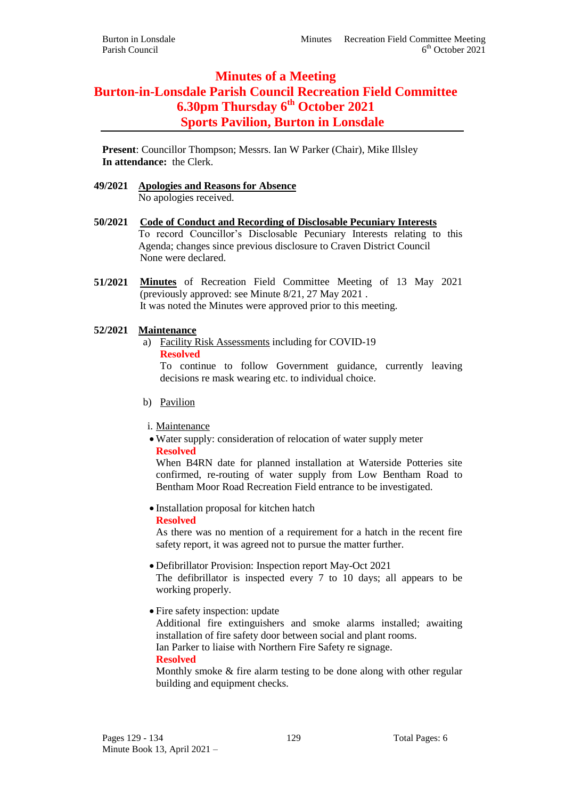# **Minutes of a Meeting Burton-in-Lonsdale Parish Council Recreation Field Committee 6.30pm Thursday 6 th October 2021 Sports Pavilion, Burton in Lonsdale**

**Present**: Councillor Thompson; Messrs. Ian W Parker (Chair), Mike Illsley **In attendance:** the Clerk.

- **49/2021 Apologies and Reasons for Absence** No apologies received.
- **50/2021 Code of Conduct and Recording of Disclosable Pecuniary Interests** To record Councillor's Disclosable Pecuniary Interests relating to this Agenda; changes since previous disclosure to Craven District Council None were declared.
- **51/2021 Minutes** of Recreation Field Committee Meeting of 13 May 2021 (previously approved: see Minute 8/21, 27 May 2021 . It was noted the Minutes were approved prior to this meeting.

# **52/2021 Maintenance**

a) Facility Risk Assessments including for COVID-19

**Resolved**

To continue to follow Government guidance, currently leaving decisions re mask wearing etc. to individual choice.

- b) Pavilion
- i. Maintenance
- Water supply: consideration of relocation of water supply meter **Resolved**

When B4RN date for planned installation at Waterside Potteries site confirmed, re-routing of water supply from Low Bentham Road to Bentham Moor Road Recreation Field entrance to be investigated.

• Installation proposal for kitchen hatch **Resolved**

As there was no mention of a requirement for a hatch in the recent fire safety report, it was agreed not to pursue the matter further.

- Defibrillator Provision: Inspection report May-Oct 2021 The defibrillator is inspected every 7 to 10 days; all appears to be working properly.
- Fire safety inspection: update

Additional fire extinguishers and smoke alarms installed; awaiting installation of fire safety door between social and plant rooms.

Ian Parker to liaise with Northern Fire Safety re signage.

**Resolved**

Monthly smoke & fire alarm testing to be done along with other regular building and equipment checks.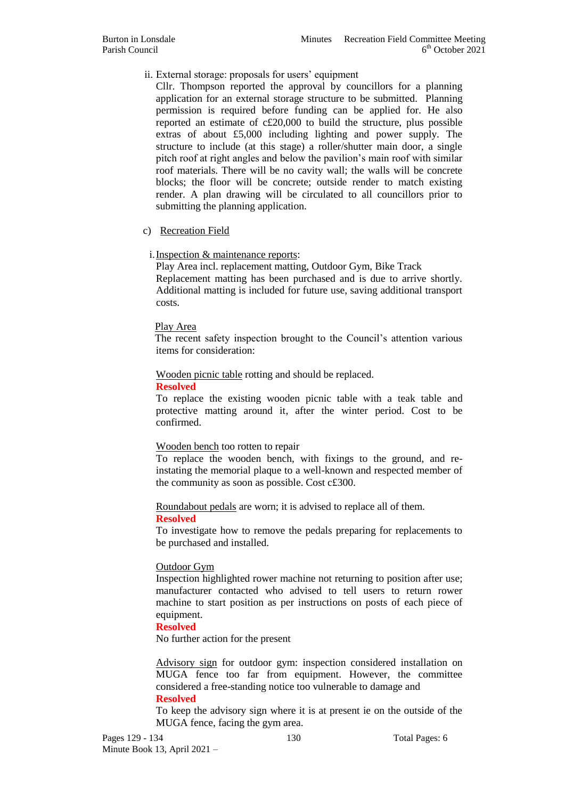# ii. External storage: proposals for users' equipment

Cllr. Thompson reported the approval by councillors for a planning application for an external storage structure to be submitted. Planning permission is required before funding can be applied for. He also reported an estimate of c£20,000 to build the structure, plus possible extras of about £5,000 including lighting and power supply. The structure to include (at this stage) a roller/shutter main door, a single pitch roof at right angles and below the pavilion's main roof with similar roof materials. There will be no cavity wall; the walls will be concrete blocks; the floor will be concrete; outside render to match existing render. A plan drawing will be circulated to all councillors prior to submitting the planning application.

# c) Recreation Field

# i.Inspection & maintenance reports:

Play Area incl. replacement matting, Outdoor Gym, Bike Track Replacement matting has been purchased and is due to arrive shortly. Additional matting is included for future use, saving additional transport costs.

## Play Area

The recent safety inspection brought to the Council's attention various items for consideration:

Wooden picnic table rotting and should be replaced.

## **Resolved**

To replace the existing wooden picnic table with a teak table and protective matting around it, after the winter period. Cost to be confirmed.

## Wooden bench too rotten to repair

To replace the wooden bench, with fixings to the ground, and reinstating the memorial plaque to a well-known and respected member of the community as soon as possible. Cost c£300.

Roundabout pedals are worn; it is advised to replace all of them.

## **Resolved**

To investigate how to remove the pedals preparing for replacements to be purchased and installed.

## Outdoor Gym

Inspection highlighted rower machine not returning to position after use; manufacturer contacted who advised to tell users to return rower machine to start position as per instructions on posts of each piece of equipment.

## **Resolved**

No further action for the present

Advisory sign for outdoor gym: inspection considered installation on MUGA fence too far from equipment. However, the committee considered a free-standing notice too vulnerable to damage and **Resolved**

To keep the advisory sign where it is at present ie on the outside of the MUGA fence, facing the gym area.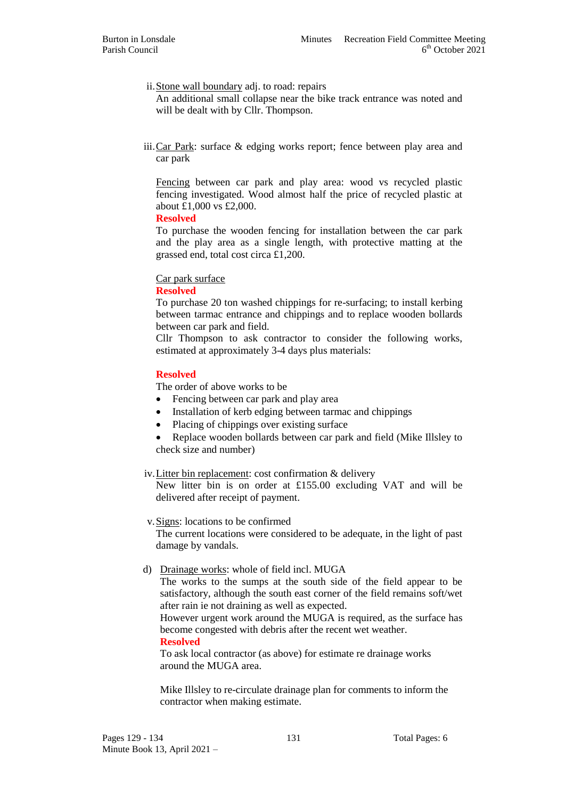# ii.Stone wall boundary adj. to road: repairs

An additional small collapse near the bike track entrance was noted and will be dealt with by Cllr. Thompson.

iii.Car Park: surface & edging works report; fence between play area and car park

Fencing between car park and play area: wood vs recycled plastic fencing investigated. Wood almost half the price of recycled plastic at about £1,000 vs £2,000.

#### **Resolved**

To purchase the wooden fencing for installation between the car park and the play area as a single length, with protective matting at the grassed end, total cost circa £1,200.

## Car park surface

## **Resolved**

To purchase 20 ton washed chippings for re-surfacing; to install kerbing between tarmac entrance and chippings and to replace wooden bollards between car park and field.

Cllr Thompson to ask contractor to consider the following works, estimated at approximately 3-4 days plus materials:

# **Resolved**

The order of above works to be

- Fencing between car park and play area
- Installation of kerb edging between tarmac and chippings
- Placing of chippings over existing surface
- Replace wooden bollards between car park and field (Mike Illsley to check size and number)

## iv.Litter bin replacement: cost confirmation & delivery

New litter bin is on order at £155.00 excluding VAT and will be delivered after receipt of payment.

## v.Signs: locations to be confirmed

The current locations were considered to be adequate, in the light of past damage by vandals.

## d) Drainage works: whole of field incl. MUGA

The works to the sumps at the south side of the field appear to be satisfactory, although the south east corner of the field remains soft/wet after rain ie not draining as well as expected.

However urgent work around the MUGA is required, as the surface has become congested with debris after the recent wet weather.

**Resolved**

To ask local contractor (as above) for estimate re drainage works around the MUGA area.

Mike Illsley to re-circulate drainage plan for comments to inform the contractor when making estimate.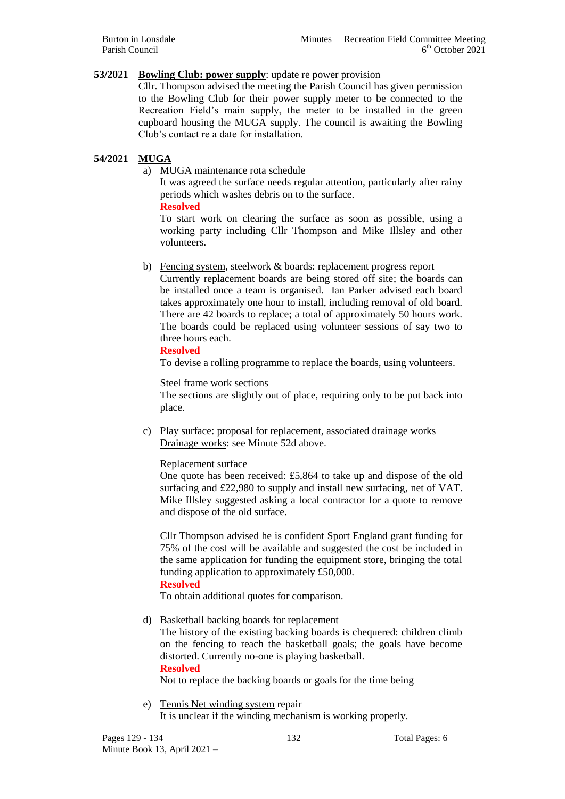# **53/2021 Bowling Club: power supply**: update re power provision

Cllr. Thompson advised the meeting the Parish Council has given permission to the Bowling Club for their power supply meter to be connected to the Recreation Field's main supply, the meter to be installed in the green cupboard housing the MUGA supply. The council is awaiting the Bowling Club's contact re a date for installation.

# **54/2021 MUGA**

a) MUGA maintenance rota schedule

It was agreed the surface needs regular attention, particularly after rainy periods which washes debris on to the surface.

**Resolved**

To start work on clearing the surface as soon as possible, using a working party including Cllr Thompson and Mike Illsley and other volunteers.

b) Fencing system, steelwork & boards: replacement progress report

Currently replacement boards are being stored off site; the boards can be installed once a team is organised. Ian Parker advised each board takes approximately one hour to install, including removal of old board. There are 42 boards to replace; a total of approximately 50 hours work. The boards could be replaced using volunteer sessions of say two to three hours each.

## **Resolved**

To devise a rolling programme to replace the boards, using volunteers.

#### Steel frame work sections

The sections are slightly out of place, requiring only to be put back into place.

c) Play surface: proposal for replacement, associated drainage works Drainage works: see Minute 52d above.

## Replacement surface

One quote has been received: £5,864 to take up and dispose of the old surfacing and £22,980 to supply and install new surfacing, net of VAT. Mike Illsley suggested asking a local contractor for a quote to remove and dispose of the old surface.

Cllr Thompson advised he is confident Sport England grant funding for 75% of the cost will be available and suggested the cost be included in the same application for funding the equipment store, bringing the total funding application to approximately £50,000.

**Resolved**

To obtain additional quotes for comparison.

d) Basketball backing boards for replacement

The history of the existing backing boards is chequered: children climb on the fencing to reach the basketball goals; the goals have become distorted. Currently no-one is playing basketball.

#### **Resolved**

Not to replace the backing boards or goals for the time being

e) Tennis Net winding system repair It is unclear if the winding mechanism is working properly.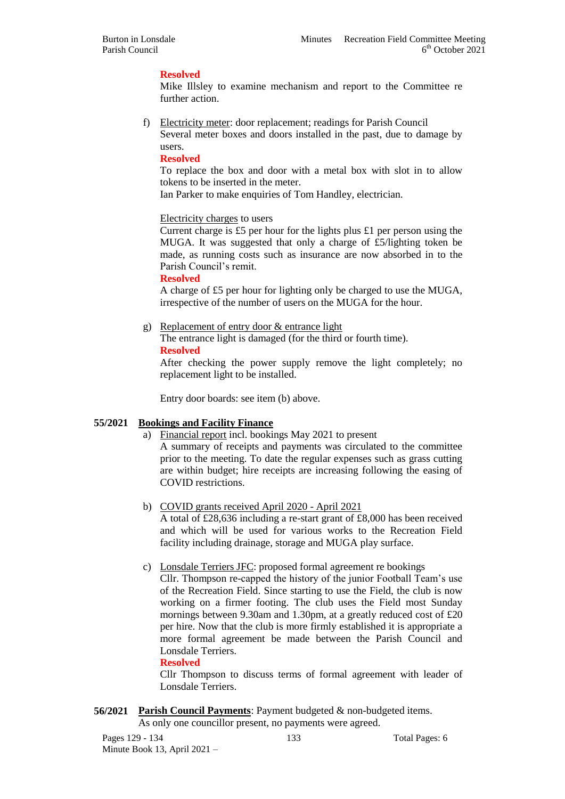## **Resolved**

Mike Illsley to examine mechanism and report to the Committee re further action.

f) Electricity meter: door replacement; readings for Parish Council Several meter boxes and doors installed in the past, due to damage by users.

#### **Resolved**

To replace the box and door with a metal box with slot in to allow tokens to be inserted in the meter.

Ian Parker to make enquiries of Tom Handley, electrician.

#### Electricity charges to users

Current charge is £5 per hour for the lights plus £1 per person using the MUGA. It was suggested that only a charge of £5/lighting token be made, as running costs such as insurance are now absorbed in to the Parish Council's remit.

#### **Resolved**

A charge of £5 per hour for lighting only be charged to use the MUGA, irrespective of the number of users on the MUGA for the hour.

## g) Replacement of entry door & entrance light

The entrance light is damaged (for the third or fourth time).

**Resolved**

After checking the power supply remove the light completely; no replacement light to be installed.

Entry door boards: see item (b) above.

## **55/2021 Bookings and Facility Finance**

a) Financial report incl. bookings May 2021 to present

A summary of receipts and payments was circulated to the committee prior to the meeting. To date the regular expenses such as grass cutting are within budget; hire receipts are increasing following the easing of COVID restrictions.

b) COVID grants received April 2020 - April 2021

A total of £28,636 including a re-start grant of £8,000 has been received and which will be used for various works to the Recreation Field facility including drainage, storage and MUGA play surface.

c) Lonsdale Terriers JFC: proposed formal agreement re bookings

Cllr. Thompson re-capped the history of the junior Football Team's use of the Recreation Field. Since starting to use the Field, the club is now working on a firmer footing. The club uses the Field most Sunday mornings between 9.30am and 1.30pm, at a greatly reduced cost of £20 per hire. Now that the club is more firmly established it is appropriate a more formal agreement be made between the Parish Council and Lonsdale Terriers.

## **Resolved**

Cllr Thompson to discuss terms of formal agreement with leader of Lonsdale Terriers.

# **56/2021 Parish Council Payments**: Payment budgeted & non-budgeted items.

As only one councillor present, no payments were agreed.